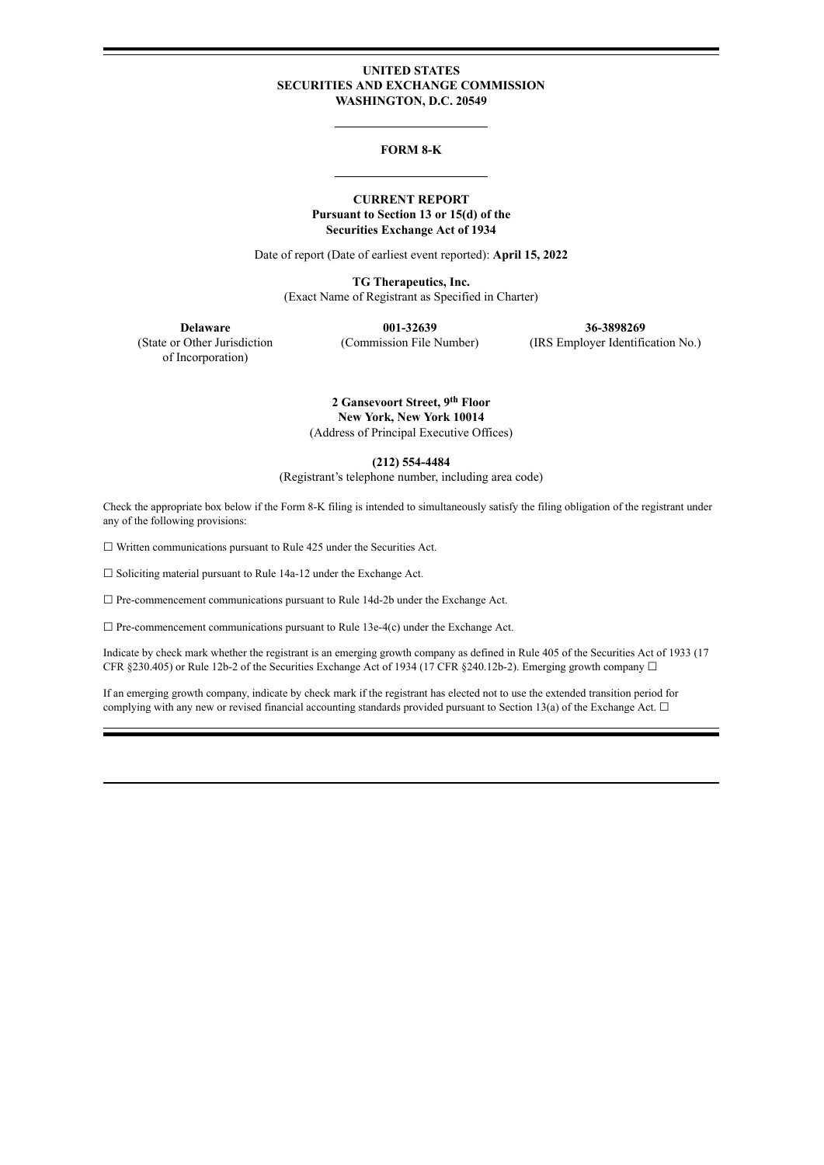### **UNITED STATES SECURITIES AND EXCHANGE COMMISSION WASHINGTON, D.C. 20549**

#### **FORM 8-K**

### **CURRENT REPORT Pursuant to Section 13 or 15(d) of the Securities Exchange Act of 1934**

Date of report (Date of earliest event reported): **April 15, 2022**

**TG Therapeutics, Inc.** (Exact Name of Registrant as Specified in Charter)

of Incorporation)

**Delaware 001-32639 36-3898269**<br>(State or Other Jurisdiction **1980) Commission File Number** (IRS Employer Identific

(Commission File Number) (IRS Employer Identification No.)

**2 Gansevoort Street, 9 th Floor New York, New York 10014** (Address of Principal Executive Offices)

**(212) 554-4484**

(Registrant's telephone number, including area code)

Check the appropriate box below if the Form 8-K filing is intended to simultaneously satisfy the filing obligation of the registrant under any of the following provisions:

☐ Written communications pursuant to Rule 425 under the Securities Act.

 $\Box$  Soliciting material pursuant to Rule 14a-12 under the Exchange Act.

□ Pre-commencement communications pursuant to Rule 14d-2b under the Exchange Act.

☐ Pre-commencement communications pursuant to Rule 13e-4(c) under the Exchange Act.

Indicate by check mark whether the registrant is an emerging growth company as defined in Rule 405 of the Securities Act of 1933 (17 CFR §230.405) or Rule 12b-2 of the Securities Exchange Act of 1934 (17 CFR §240.12b-2). Emerging growth company  $\Box$ 

If an emerging growth company, indicate by check mark if the registrant has elected not to use the extended transition period for complying with any new or revised financial accounting standards provided pursuant to Section 13(a) of the Exchange Act.  $\Box$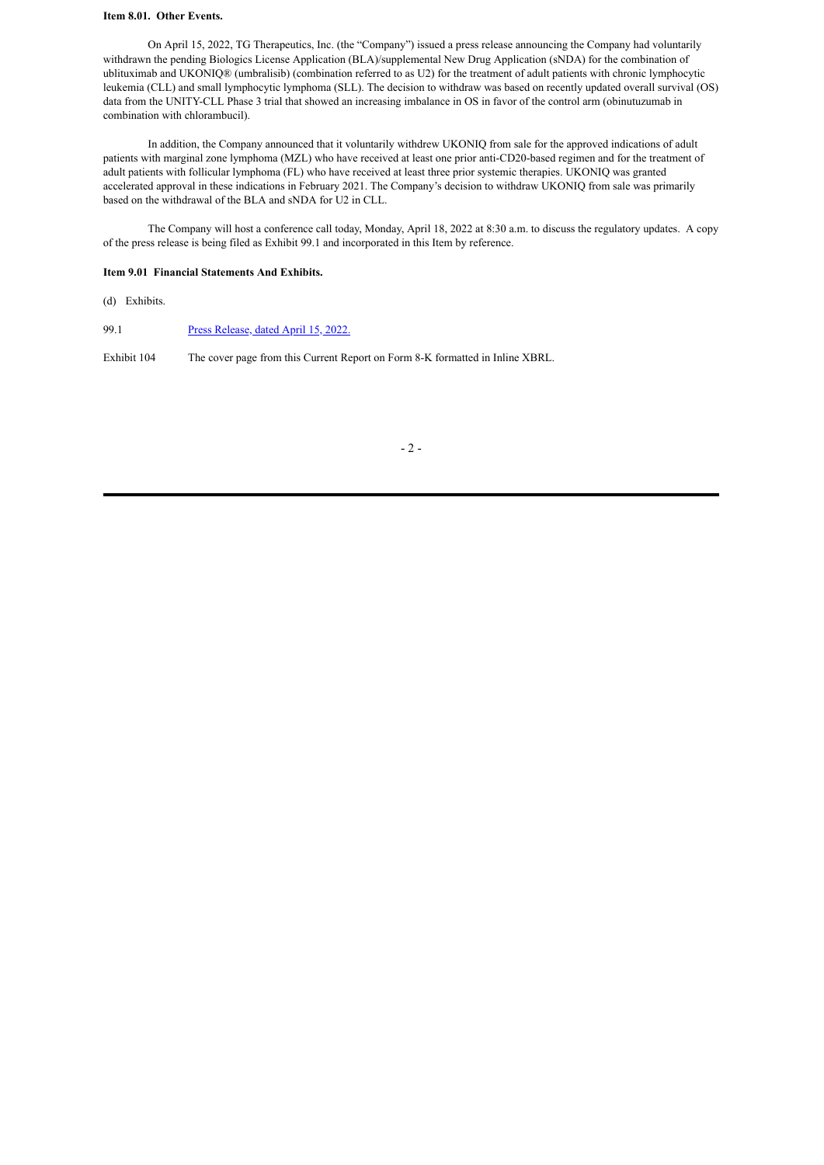### **Item 8.01. Other Events.**

On April 15, 2022, TG Therapeutics, Inc. (the "Company") issued a press release announcing the Company had voluntarily withdrawn the pending Biologics License Application (BLA)/supplemental New Drug Application (sNDA) for the combination of ublituximab and UKONIQ® (umbralisib) (combination referred to as U2) for the treatment of adult patients with chronic lymphocytic leukemia (CLL) and small lymphocytic lymphoma (SLL). The decision to withdraw was based on recently updated overall survival (OS) data from the UNITY-CLL Phase 3 trial that showed an increasing imbalance in OS in favor of the control arm (obinutuzumab in combination with chlorambucil).

In addition, the Company announced that it voluntarily withdrew UKONIQ from sale for the approved indications of adult patients with marginal zone lymphoma (MZL) who have received at least one prior anti-CD20-based regimen and for the treatment of adult patients with follicular lymphoma (FL) who have received at least three prior systemic therapies. UKONIQ was granted accelerated approval in these indications in February 2021. The Company's decision to withdraw UKONIQ from sale was primarily based on the withdrawal of the BLA and sNDA for U2 in CLL.

The Company will host a conference call today, Monday, April 18, 2022 at 8:30 a.m. to discuss the regulatory updates. A copy of the press release is being filed as Exhibit 99.1 and incorporated in this Item by reference.

#### **Item 9.01 Financial Statements And Exhibits.**

(d) Exhibits.

99.1 [Press Release, dated April 15, 2022.](#page-3-0)

Exhibit 104 The cover page from this Current Report on Form 8-K formatted in Inline XBRL.

- 2 -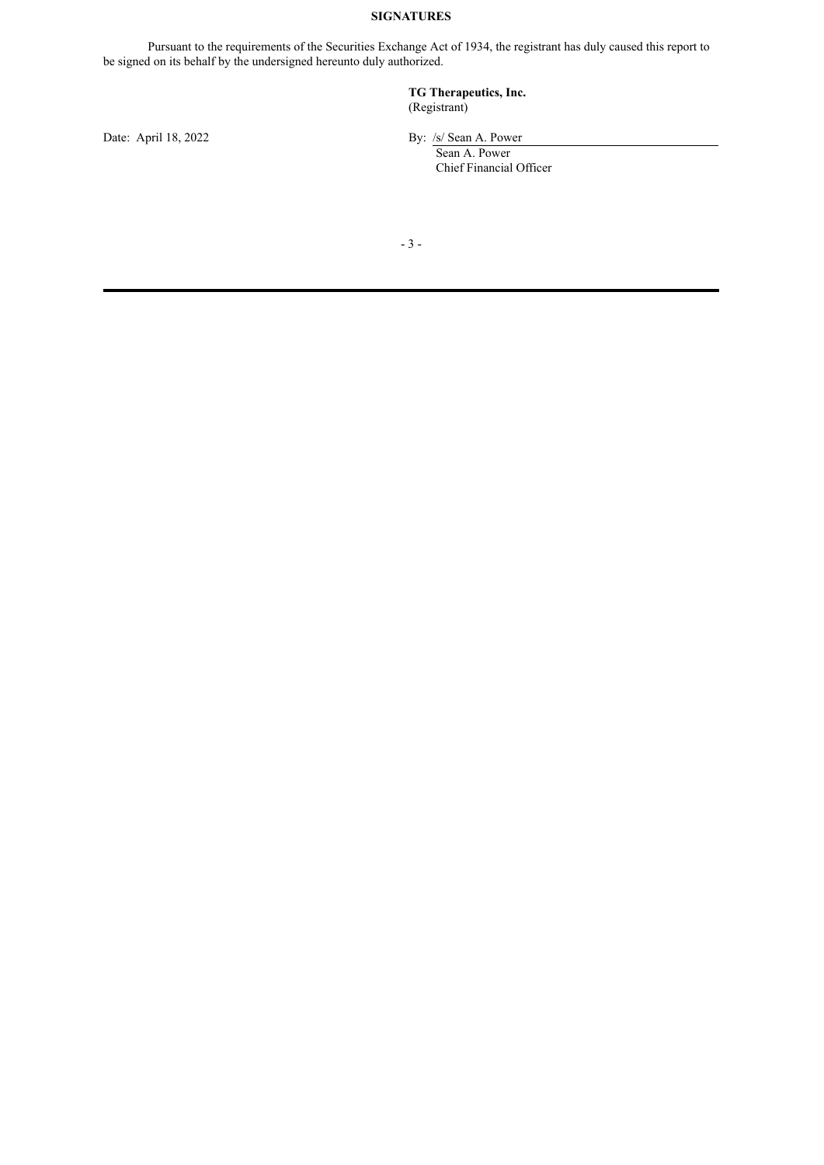# **SIGNATURES**

Pursuant to the requirements of the Securities Exchange Act of 1934, the registrant has duly caused this report to be signed on its behalf by the undersigned hereunto duly authorized.

## **TG Therapeutics, Inc.** (Registrant)

Date: April 18, 2022 By: /s/ Sean A. Power

Sean A. Power Chief Financial Officer

- 3 -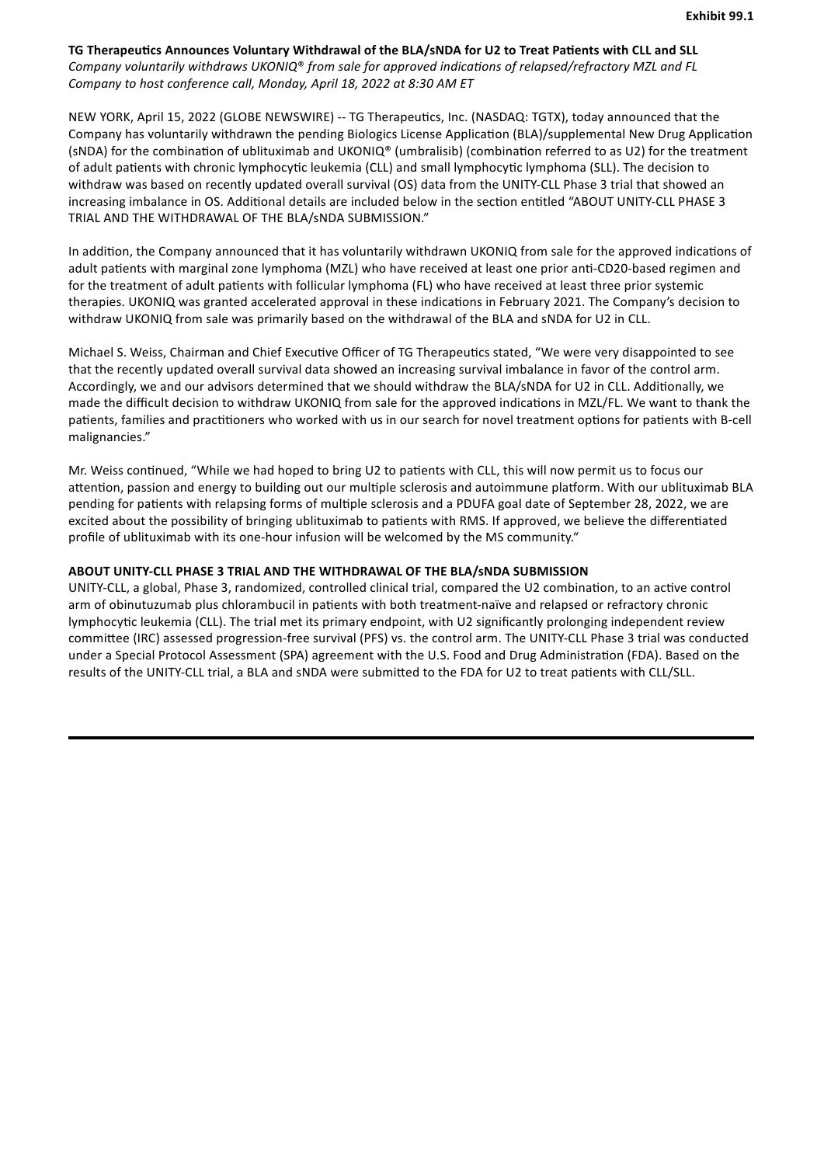<span id="page-3-0"></span>**TG Therapeucs Announces Voluntary Withdrawal of the BLA/sNDA for U2 to Treat Paents with CLL and SLL** *Company voluntarily* withdraws *UKONIQ® from* sale for approved indications of relapsed/refractory MZL and FL *Company to host conference call, Monday, April 18, 2022 at 8:30 AM ET*

NEW YORK, April 15, 2022 (GLOBE NEWSWIRE) -- TG Therapeutics, Inc. (NASDAQ: TGTX), today announced that the Company has voluntarily withdrawn the pending Biologics License Application (BLA)/supplemental New Drug Application (sNDA) for the combination of ublituximab and UKONIQ® (umbralisib) (combination referred to as U2) for the treatment of adult patients with chronic lymphocytic leukemia (CLL) and small lymphocytic lymphoma (SLL). The decision to withdraw was based on recently updated overall survival (OS) data from the UNITY-CLL Phase 3 trial that showed an increasing imbalance in OS. Additional details are included below in the section entitled "ABOUT UNITY-CLL PHASE 3 TRIAL AND THE WITHDRAWAL OF THE BLA/sNDA SUBMISSION."

In addition, the Company announced that it has voluntarily withdrawn UKONIQ from sale for the approved indications of adult patients with marginal zone lymphoma (MZL) who have received at least one prior anti-CD20-based regimen and for the treatment of adult patients with follicular lymphoma (FL) who have received at least three prior systemic therapies. UKONIQ was granted accelerated approval in these indications in February 2021. The Company's decision to withdraw UKONIQ from sale was primarily based on the withdrawal of the BLA and sNDA for U2 in CLL.

Michael S. Weiss, Chairman and Chief Executive Officer of TG Therapeutics stated, "We were very disappointed to see that the recently updated overall survival data showed an increasing survival imbalance in favor of the control arm. Accordingly, we and our advisors determined that we should withdraw the BLA/sNDA for U2 in CLL. Additionally, we made the difficult decision to withdraw UKONIQ from sale for the approved indications in MZL/FL. We want to thank the patients, families and practitioners who worked with us in our search for novel treatment options for patients with B-cell malignancies."

Mr. Weiss continued, "While we had hoped to bring U2 to patients with CLL, this will now permit us to focus our attention, passion and energy to building out our multiple sclerosis and autoimmune platform. With our ublituximab BLA pending for patients with relapsing forms of multiple sclerosis and a PDUFA goal date of September 28, 2022, we are excited about the possibility of bringing ublituximab to patients with RMS. If approved, we believe the differentiated profile of ublituximab with its one-hour infusion will be welcomed by the MS community."

### **ABOUT UNITY-CLL PHASE 3 TRIAL AND THE WITHDRAWAL OF THE BLA/sNDA SUBMISSION**

UNITY-CLL, a global, Phase 3, randomized, controlled clinical trial, compared the U2 combination, to an active control arm of obinutuzumab plus chlorambucil in patients with both treatment-naïve and relapsed or refractory chronic lymphocytic leukemia (CLL). The trial met its primary endpoint, with U2 significantly prolonging independent review committee (IRC) assessed progression-free survival (PFS) vs. the control arm. The UNITY-CLL Phase 3 trial was conducted under a Special Protocol Assessment (SPA) agreement with the U.S. Food and Drug Administration (FDA). Based on the results of the UNITY-CLL trial, a BLA and sNDA were submitted to the FDA for U2 to treat patients with CLL/SLL.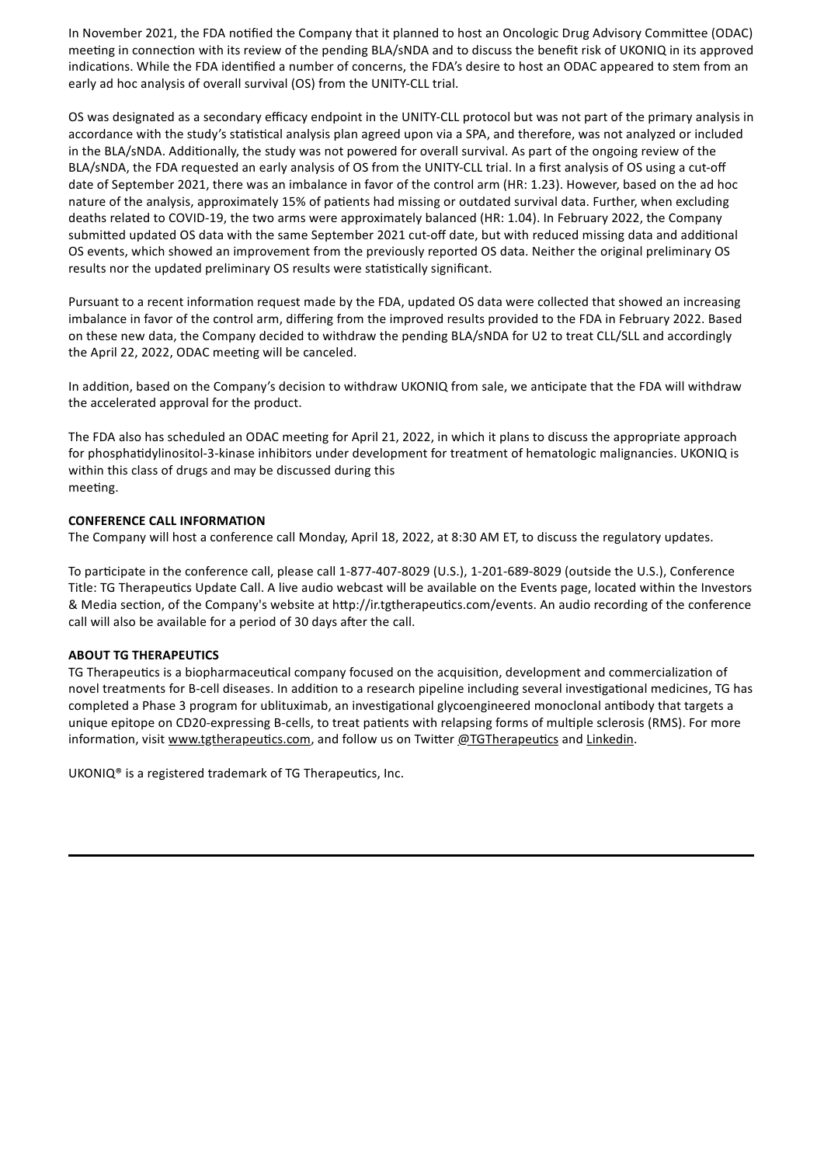In November 2021, the FDA notified the Company that it planned to host an Oncologic Drug Advisory Committee (ODAC) meeting in connection with its review of the pending BLA/sNDA and to discuss the benefit risk of UKONIQ in its approved indications. While the FDA identified a number of concerns, the FDA's desire to host an ODAC appeared to stem from an early ad hoc analysis of overall survival (OS) from the UNITY-CLL trial.

OS was designated as a secondary efficacy endpoint in the UNITY-CLL protocol but was not part of the primary analysis in accordance with the study's statistical analysis plan agreed upon via a SPA, and therefore, was not analyzed or included in the BLA/sNDA. Additionally, the study was not powered for overall survival. As part of the ongoing review of the BLA/sNDA, the FDA requested an early analysis of OS from the UNITY-CLL trial. In a first analysis of OS using a cut-off date of September 2021, there was an imbalance in favor of the control arm (HR: 1.23). However, based on the ad hoc nature of the analysis, approximately 15% of patients had missing or outdated survival data. Further, when excluding deaths related to COVID-19, the two arms were approximately balanced (HR: 1.04). In February 2022, the Company submitted updated OS data with the same September 2021 cut-off date, but with reduced missing data and additional OS events, which showed an improvement from the previously reported OS data. Neither the original preliminary OS results nor the updated preliminary OS results were statistically significant.

Pursuant to a recent information request made by the FDA, updated OS data were collected that showed an increasing imbalance in favor of the control arm, differing from the improved results provided to the FDA in February 2022. Based on these new data, the Company decided to withdraw the pending BLA/sNDA for U2 to treat CLL/SLL and accordingly the April 22, 2022, ODAC meeting will be canceled.

In addition, based on the Company's decision to withdraw UKONIQ from sale, we anticipate that the FDA will withdraw the accelerated approval for the product.

The FDA also has scheduled an ODAC meeting for April 21, 2022, in which it plans to discuss the appropriate approach for phosphadylinositol-3-kinase inhibitors under development for treatment of hematologic malignancies. UKONIQ is within this class of drugs and may be discussed during this meeting.

## **CONFERENCE CALL INFORMATION**

The Company will host a conference call Monday, April 18, 2022, at 8:30 AM ET, to discuss the regulatory updates.

To participate in the conference call, please call 1-877-407-8029 (U.S.), 1-201-689-8029 (outside the U.S.), Conference Title: TG Therapeutics Update Call. A live audio webcast will be available on the Events page, located within the Investors & Media section, of the Company's website at http://ir.tgtherapeutics.com/events. An audio recording of the conference call will also be available for a period of 30 days after the call.

## **ABOUT TG THERAPEUTICS**

TG Therapeutics is a biopharmaceutical company focused on the acquisition, development and commercialization of novel treatments for B-cell diseases. In addition to a research pipeline including several investigational medicines, TG has completed a Phase 3 program for ublituximab, an investigational glycoengineered monoclonal antibody that targets a unique epitope on CD20-expressing B-cells, to treat patients with relapsing forms of multiple sclerosis (RMS). For more information, visit www.tgtherapeutics.com, and follow us on Twitter @TGTherapeutics and Linkedin.

UKONI $Q^{\circ}$  is a registered trademark of TG Therapeutics, Inc.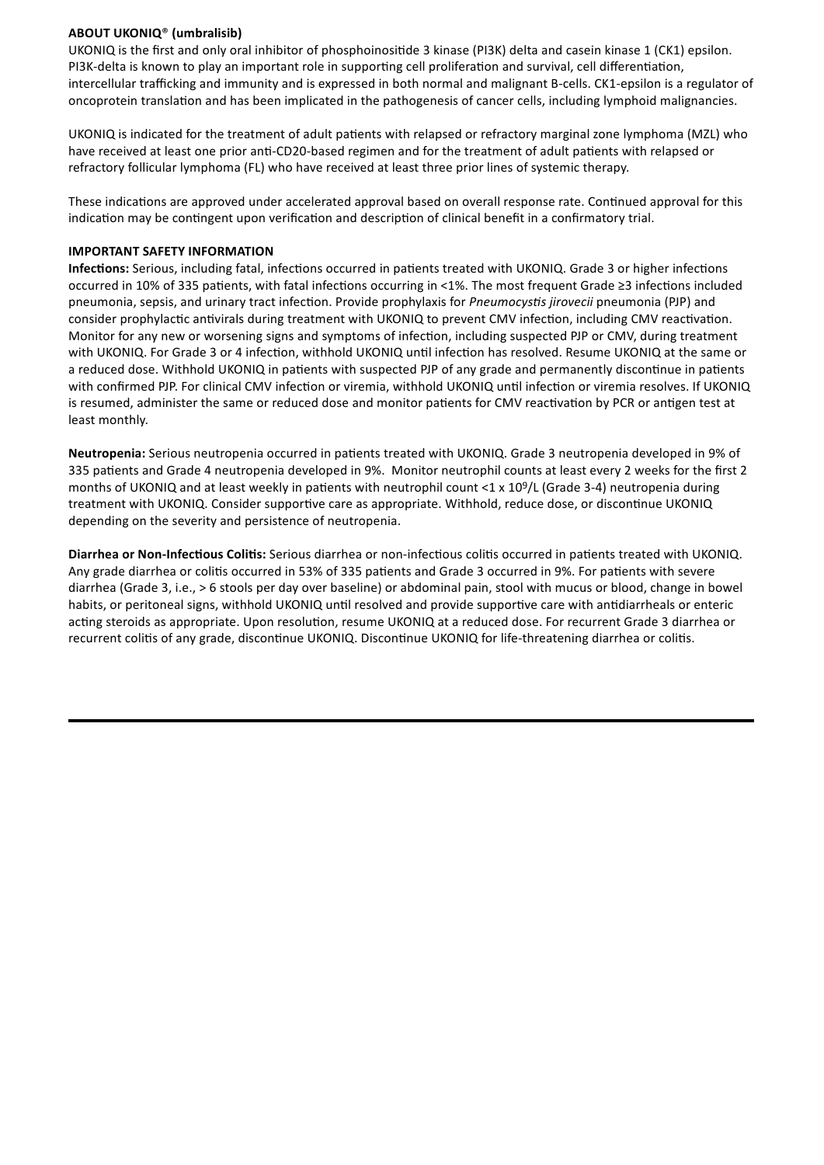# **ABOUT UKONIQ**® **(umbralisib)**

UKONIQ is the first and only oral inhibitor of phosphoinoside 3 kinase (PI3K) delta and casein kinase 1 (CK1) epsilon. PI3K-delta is known to play an important role in supporting cell proliferation and survival, cell differentiation, intercellular trafficking and immunity and is expressed in both normal and malignant B-cells. CK1-epsilon is a regulator of oncoprotein translation and has been implicated in the pathogenesis of cancer cells, including lymphoid malignancies.

UKONIQ is indicated for the treatment of adult patients with relapsed or refractory marginal zone lymphoma (MZL) who have received at least one prior anti-CD20-based regimen and for the treatment of adult patients with relapsed or refractory follicular lymphoma (FL) who have received at least three prior lines of systemic therapy.

These indications are approved under accelerated approval based on overall response rate. Continued approval for this indication may be contingent upon verification and description of clinical benefit in a confirmatory trial.

## **IMPORTANT SAFETY INFORMATION**

Infections: Serious, including fatal, infections occurred in patients treated with UKONIQ. Grade 3 or higher infections occurred in 10% of 335 patients, with fatal infections occurring in <1%. The most frequent Grade ≥3 infections included pneumonia, sepsis, and urinary tract infection. Provide prophylaxis for *Pneumocystis jirovecii* pneumonia (PJP) and consider prophylactic antivirals during treatment with UKONIQ to prevent CMV infection, including CMV reactivation. Monitor for any new or worsening signs and symptoms of infection, including suspected PJP or CMV, during treatment with UKONIQ. For Grade 3 or 4 infection, withhold UKONIQ until infection has resolved. Resume UKONIQ at the same or a reduced dose. Withhold UKONIQ in patients with suspected PJP of any grade and permanently discontinue in patients with confirmed PJP. For clinical CMV infection or viremia, withhold UKONIQ until infection or viremia resolves. If UKONIQ is resumed, administer the same or reduced dose and monitor patients for CMV reactivation by PCR or antigen test at least monthly.

Neutropenia: Serious neutropenia occurred in patients treated with UKONIQ. Grade 3 neutropenia developed in 9% of 335 patients and Grade 4 neutropenia developed in 9%. Monitor neutrophil counts at least every 2 weeks for the first 2 months of UKONIQ and at least weekly in patients with neutrophil count <1 x 109/L (Grade 3-4) neutropenia during treatment with UKONIQ. Consider supportive care as appropriate. Withhold, reduce dose, or discontinue UKONIQ depending on the severity and persistence of neutropenia.

**Diarrhea or Non-Infectious Colitis:** Serious diarrhea or non-infectious colitis occurred in patients treated with UKONIQ. Any grade diarrhea or colitis occurred in 53% of 335 patients and Grade 3 occurred in 9%. For patients with severe diarrhea (Grade 3, i.e., > 6 stools per day over baseline) or abdominal pain, stool with mucus or blood, change in bowel habits, or peritoneal signs, withhold UKONIQ until resolved and provide supportive care with antidiarrheals or enteric acting steroids as appropriate. Upon resolution, resume UKONIQ at a reduced dose. For recurrent Grade 3 diarrhea or recurrent colitis of any grade, discontinue UKONIQ. Discontinue UKONIQ for life-threatening diarrhea or colitis.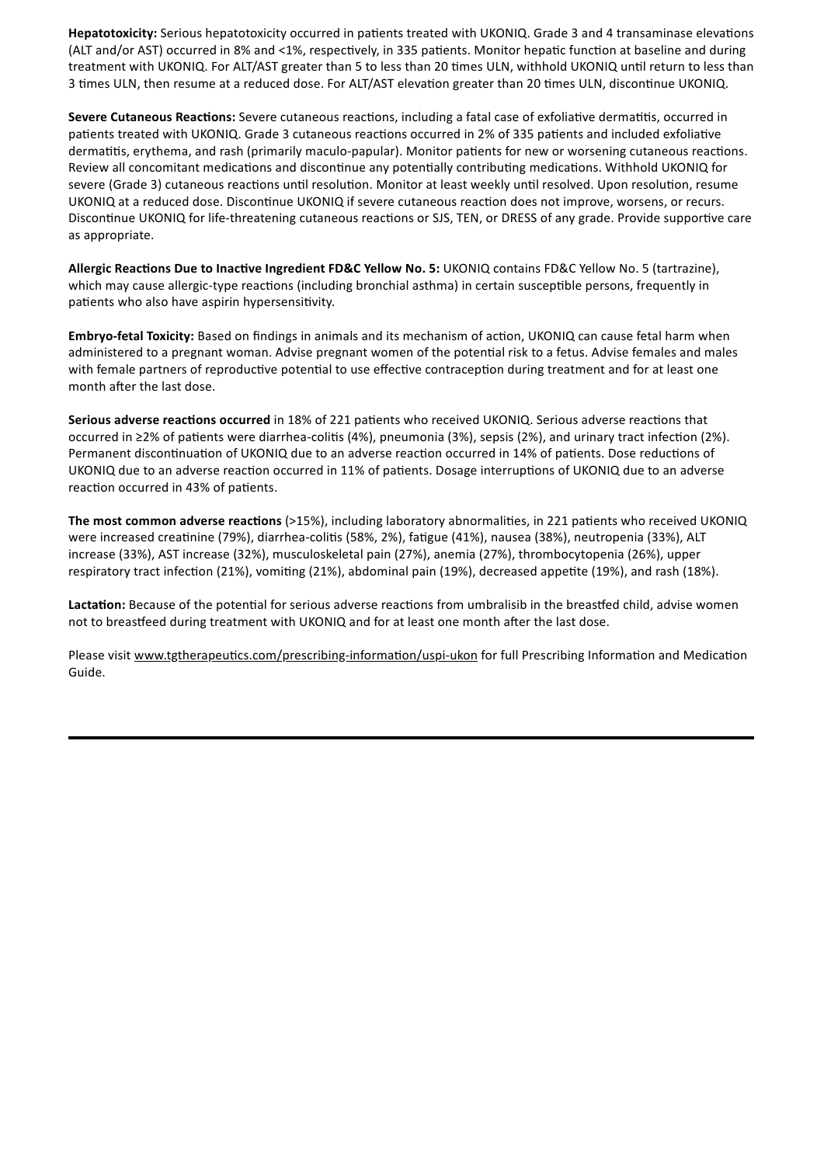Hepatotoxicity: Serious hepatotoxicity occurred in patients treated with UKONIQ. Grade 3 and 4 transaminase elevations (ALT and/or AST) occurred in 8% and <1%, respectively, in 335 patients. Monitor hepatic function at baseline and during treatment with UKONIQ. For ALT/AST greater than 5 to less than 20 times ULN, withhold UKONIQ until return to less than 3 times ULN, then resume at a reduced dose. For ALT/AST elevation greater than 20 times ULN, discontinue UKONIQ.

Severe Cutaneous Reactions: Severe cutaneous reactions, including a fatal case of exfoliative dermatitis, occurred in patients treated with UKONIQ. Grade 3 cutaneous reactions occurred in 2% of 335 patients and included exfoliative dermatitis, erythema, and rash (primarily maculo-papular). Monitor patients for new or worsening cutaneous reactions. Review all concomitant medications and discontinue any potentially contributing medications. Withhold UKONIQ for severe (Grade 3) cutaneous reactions until resolution. Monitor at least weekly until resolved. Upon resolution, resume UKONIQ at a reduced dose. Discontinue UKONIQ if severe cutaneous reaction does not improve, worsens, or recurs. Discontinue UKONIQ for life-threatening cutaneous reactions or SJS, TEN, or DRESS of any grade. Provide supportive care as appropriate.

**Allergic Reactions Due to Inactive Ingredient FD&C Yellow No. 5: UKONIQ contains FD&C Yellow No. 5 (tartrazine),** which may cause allergic-type reactions (including bronchial asthma) in certain susceptible persons, frequently in patients who also have aspirin hypersensitivity.

**Embryo-fetal Toxicity:** Based on findings in animals and its mechanism of action, UKONIQ can cause fetal harm when administered to a pregnant woman. Advise pregnant women of the potential risk to a fetus. Advise females and males with female partners of reproductive potential to use effective contraception during treatment and for at least one month after the last dose.

**Serious adverse reactions occurred** in 18% of 221 patients who received UKONIQ. Serious adverse reactions that occurred in ≥2% of patients were diarrhea-colitis (4%), pneumonia (3%), sepsis (2%), and urinary tract infection (2%). Permanent discontinuation of UKONIQ due to an adverse reaction occurred in 14% of patients. Dose reductions of UKONIQ due to an adverse reaction occurred in 11% of patients. Dosage interruptions of UKONIQ due to an adverse reaction occurred in 43% of patients.

**The most common adverse reactions** (>15%), including laboratory abnormalities, in 221 patients who received UKONIQ were increased creatinine (79%), diarrhea-colitis (58%, 2%), fatigue (41%), nausea (38%), neutropenia (33%), ALT increase (33%), AST increase (32%), musculoskeletal pain (27%), anemia (27%), thrombocytopenia (26%), upper respiratory tract infection (21%), vomiting (21%), abdominal pain (19%), decreased appetite (19%), and rash (18%).

Lactation: Because of the potential for serious adverse reactions from umbralisib in the breastfed child, advise women not to breastfeed during treatment with UKONIQ and for at least one month after the last dose.

Please visit www.tgtherapeutics.com/prescribing-information/uspi-ukon for full Prescribing Information and Medication Guide.